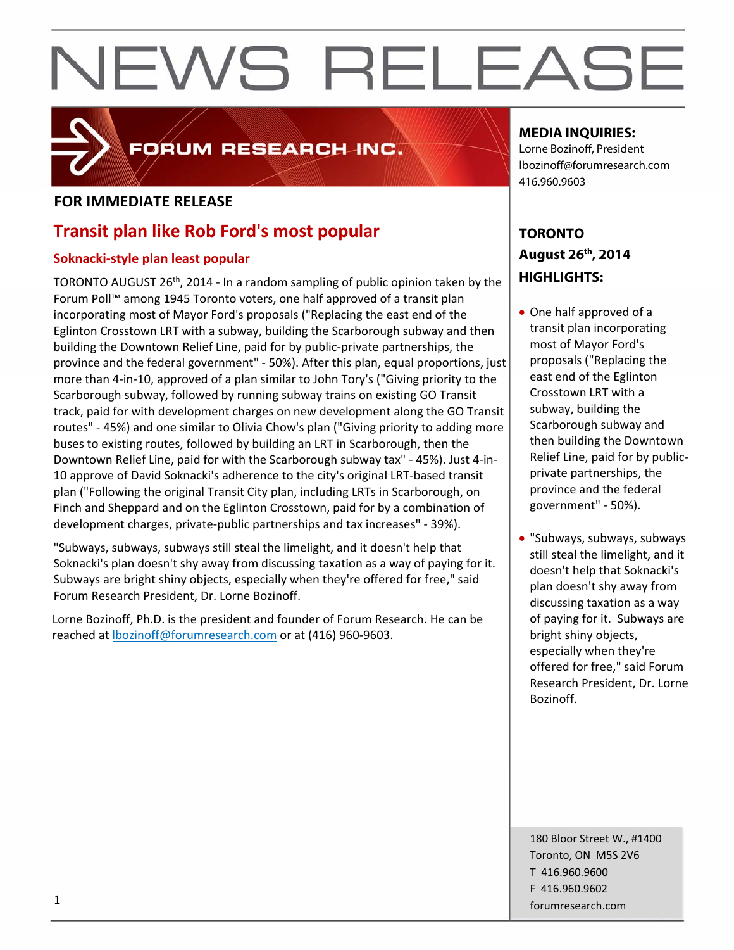# **FOR IMMEDIATE RELEASE**

## **Transit plan like Rob Ford's most popular**

### **Soknacki‐style plan least popular**

TORONTO AUGUST 26<sup>th</sup>, 2014 - In a random sampling of public opinion taken by the Forum Poll™ among 1945 Toronto voters, one half approved of a transit plan incorporating most of Mayor Ford's proposals ("Replacing the east end of the Eglinton Crosstown LRT with a subway, building the Scarborough subway and then building the Downtown Relief Line, paid for by public‐private partnerships, the province and the federal government" ‐ 50%). After this plan, equal proportions, just more than 4‐in‐10, approved of a plan similar to John Tory's ("Giving priority to the Scarborough subway, followed by running subway trains on existing GO Transit track, paid for with development charges on new development along the GO Transit routes" ‐ 45%) and one similar to Olivia Chow's plan ("Giving priority to adding more buses to existing routes, followed by building an LRT in Scarborough, then the Downtown Relief Line, paid for with the Scarborough subway tax" ‐ 45%). Just 4‐in‐ 10 approve of David Soknacki's adherence to the city's original LRT‐based transit plan ("Following the original Transit City plan, including LRTs in Scarborough, on Finch and Sheppard and on the Eglinton Crosstown, paid for by a combination of development charges, private‐public partnerships and tax increases" ‐ 39%).

FORUM RESEARCH INC.

"Subways, subways, subways still steal the limelight, and it doesn't help that Soknacki's plan doesn't shy away from discussing taxation as a way of paying for it. Subways are bright shiny objects, especially when they're offered for free," said Forum Research President, Dr. Lorne Bozinoff.

Lorne Bozinoff, Ph.D. is the president and founder of Forum Research. He can be reached at lbozinoff@forumresearch.com or at (416) 960‐9603.

### **MEDIA INQUIRIES:**

Lorne Bozinoff, President lbozinoff@forumresearch.com 416.960.9603

## **TORONTO August 26th, 2014 HIGHLIGHTS:**

- One half approved of a transit plan incorporating most of Mayor Ford's proposals ("Replacing the east end of the Eglinton Crosstown LRT with a subway, building the Scarborough subway and then building the Downtown Relief Line, paid for by public‐ private partnerships, the province and the federal government" ‐ 50%).
- "Subways, subways, subways still steal the limelight, and it doesn't help that Soknacki's plan doesn't shy away from discussing taxation as a way of paying for it. Subways are bright shiny objects, especially when they're offered for free," said Forum Research President, Dr. Lorne Bozinoff.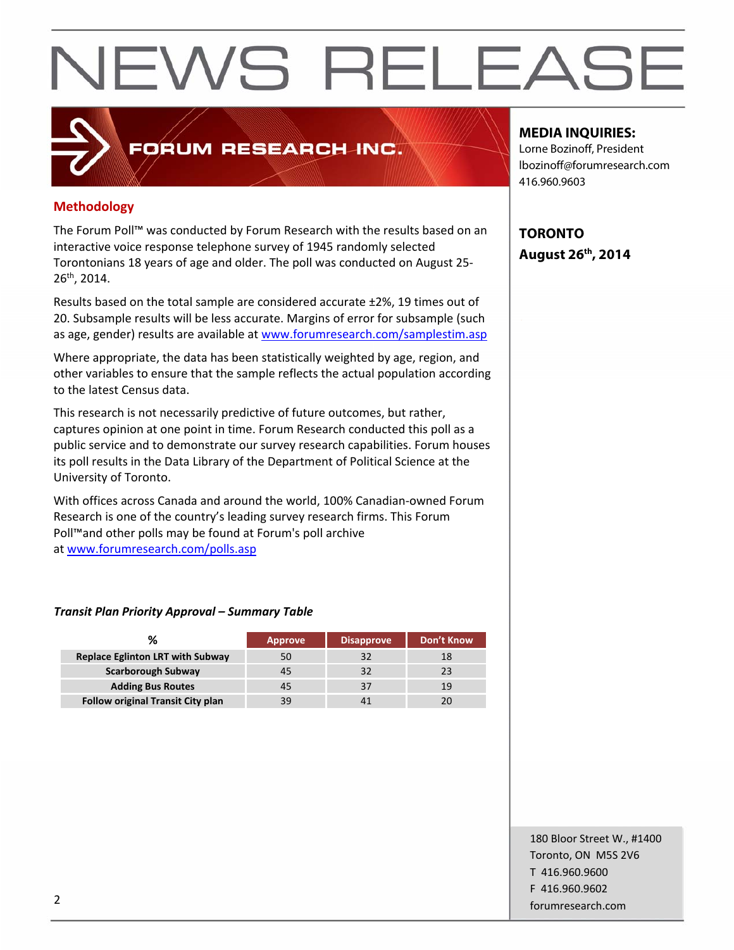### **Methodology**

The Forum Poll™ was conducted by Forum Research with the results based on an interactive voice response telephone survey of 1945 randomly selected Torontonians 18 years of age and older. The poll was conducted on August 25‐ 26th, 2014.

**FORUM RESEARCH INC.** 

Results based on the total sample are considered accurate ±2%, 19 times out of 20. Subsample results will be less accurate. Margins of error for subsample (such as age, gender) results are available at www.forumresearch.com/samplestim.asp

Where appropriate, the data has been statistically weighted by age, region, and other variables to ensure that the sample reflects the actual population according to the latest Census data.

This research is not necessarily predictive of future outcomes, but rather, captures opinion at one point in time. Forum Research conducted this poll as a public service and to demonstrate our survey research capabilities. Forum houses its poll results in the Data Library of the Department of Political Science at the University of Toronto.

With offices across Canada and around the world, 100% Canadian‐owned Forum Research is one of the country's leading survey research firms. This Forum Poll™and other polls may be found at Forum's poll archive at www.forumresearch.com/polls.asp

#### *Transit Plan Priority Approval – Summary Table*

| %                                        | <b>Approve</b> | <b>Disapprove</b> | <b>Don't Know</b> |
|------------------------------------------|----------------|-------------------|-------------------|
| <b>Replace Eglinton LRT with Subway</b>  |                |                   |                   |
| <b>Scarborough Subway</b>                | 45             |                   |                   |
| <b>Adding Bus Routes</b>                 | 45             |                   | 19                |
| <b>Follow original Transit City plan</b> | 39             |                   |                   |

#### **MEDIA INQUIRIES:**

Lorne Bozinoff, President lbozinoff@forumresearch.com 416.960.9603

**TORONTO August 26th, 2014** 

180 Bloor Street W., #1400 Toronto, ON M5S 2V6 T 416.960.9600 F 416.960.9602 example to the contract of the contract of the contract of the contract of the contract of the contract of the contract of the contract of the contract of the contract of the contract of the contract of the contract of the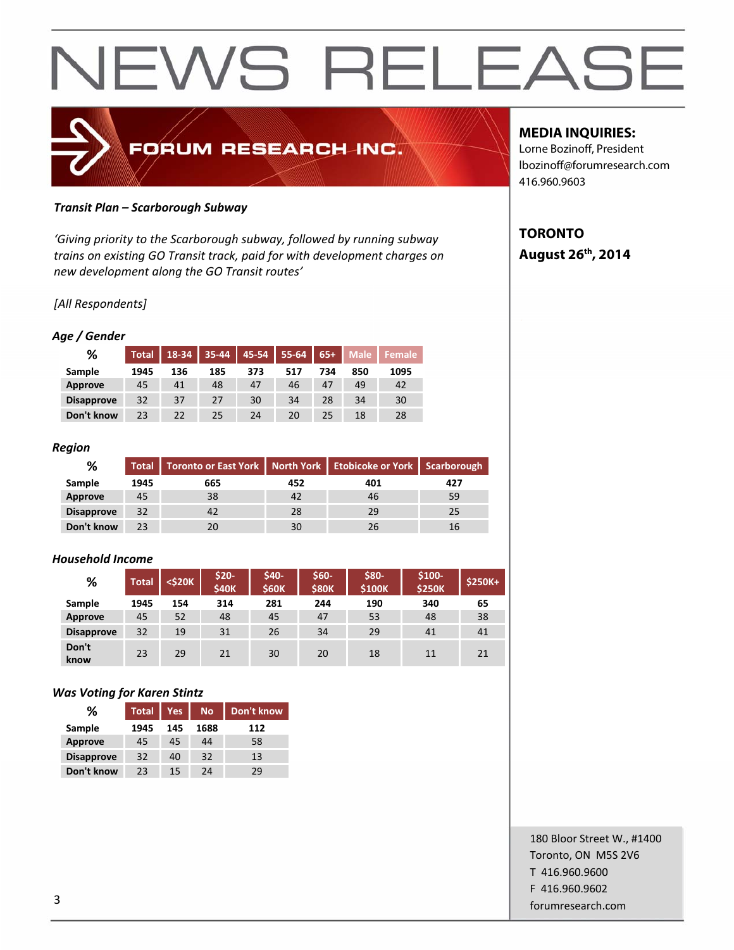

#### *Transit Plan – Scarborough Subway*

*'Giving priority to the Scarborough subway, followed by running subway trains on existing GO Transit track, paid for with development charges on new development along the GO Transit routes'*

#### *[All Respondents]*

#### *Age / Gender*

| %                 | <b>Total</b> | 18-34 | 35-44 | 45-54 | $55 - 64$ | $65+$ | <b>Male</b> | ' Female |
|-------------------|--------------|-------|-------|-------|-----------|-------|-------------|----------|
| Sample            | 1945         | 136   | 185   | 373   | 517       | 734   | 850         | 1095     |
| Approve           | 45           | 41    | 48    | 47    | 46        | 47    | 49          | 42       |
| <b>Disapprove</b> | 32           | 37    | 27    | 30    | 34        | 28    | 34          | 30       |
| Don't know        | 23           | 22    | 25    | 24    | 20        | 25    | 18          | 28       |

#### *Region*

| ℅                 | <b>Total</b> | Toronto or East York   North York   Etobicoke or York   Scarborough |     |     |     |
|-------------------|--------------|---------------------------------------------------------------------|-----|-----|-----|
| Sample            | 1945         | 665                                                                 | 452 | 401 | 427 |
| Approve           | 45           | 38                                                                  | 42  | 46  | 59  |
| <b>Disapprove</b> | 32           | 42                                                                  | 28  | 29  | 25  |
| Don't know        | 23           | 20                                                                  | 30  | 26  | 16  |

#### *Household Income*

| %                 | <b>Total</b> | <\$20K | \$20-<br><b>\$40K</b> | \$40-<br><b>\$60K</b> | \$60-<br><b>\$80K</b> | \$80-<br><b>\$100K</b> | $$100-$<br><b>\$250K</b> | <b>\$250K+</b> |
|-------------------|--------------|--------|-----------------------|-----------------------|-----------------------|------------------------|--------------------------|----------------|
| Sample            | 1945         | 154    | 314                   | 281                   | 244                   | 190                    | 340                      | 65             |
| Approve           | 45           | 52     | 48                    | 45                    | 47                    | 53                     | 48                       | 38             |
| <b>Disapprove</b> | 32           | 19     | 31                    | 26                    | 34                    | 29                     | 41                       | 41             |
| Don't<br>know     | 23           | 29     | 21                    | 30                    | 20                    | 18                     | 11                       | 21             |

#### *Was Voting for Karen Stintz*

| %                 | <b>Total</b> | <b>Yes</b> | <b>No</b> | Don't know |  |
|-------------------|--------------|------------|-----------|------------|--|
| Sample            | 1945         | 145        | 1688      | 112        |  |
| <b>Approve</b>    | 45           | 45         | 44        | 58         |  |
| <b>Disapprove</b> | 32           | 40         | 32        | 13         |  |
| Don't know        | 23           | 15         | 24        | 29         |  |

### **MEDIA INQUIRIES:**

Lorne Bozinoff, President lbozinoff@forumresearch.com 416.960.9603

## **TORONTO August 26th, 2014**

180 Bloor Street W., #1400 Toronto, ON M5S 2V6 T 416.960.9600 F 416.960.9602 forumresearch.com and the set of the set of the set of the set of the set of the set of the set of the set of the set of the set of the set of the set of the set of the set of the set of the set of the set of the set of th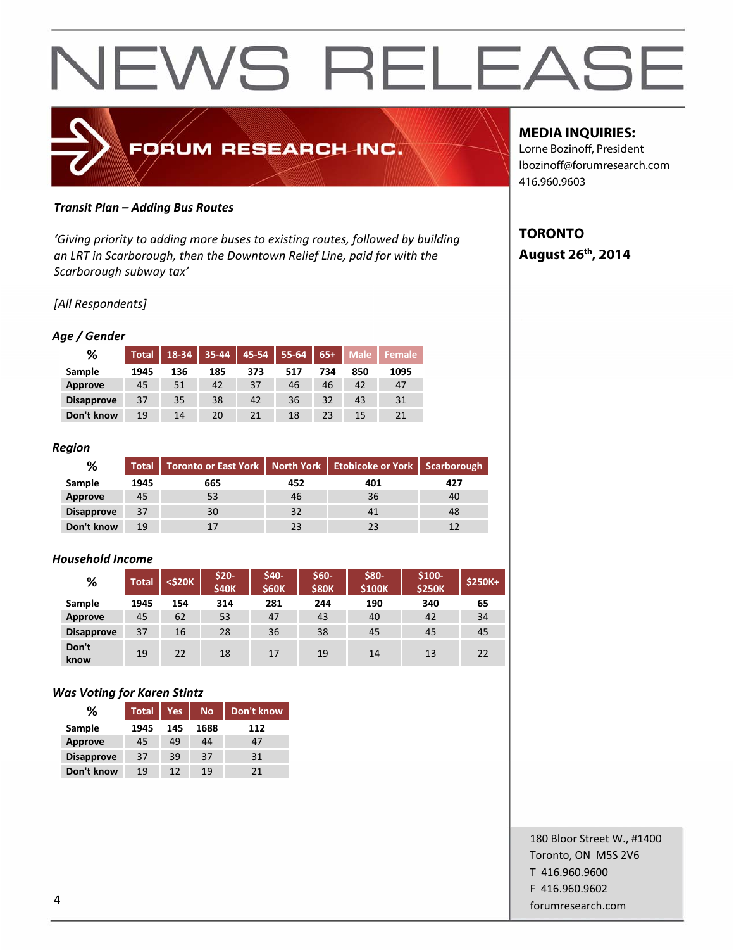

#### *Transit Plan – Adding Bus Routes*

*'Giving priority to adding more buses to existing routes, followed by building an LRT in Scarborough, then the Downtown Relief Line, paid for with the Scarborough subway tax'*

#### *[All Respondents]*

#### *Age / Gender*

| %                 | <b>Total</b> | 18-34 | 35-44 | 45-54 | 55-64 | $65+$ | <b>Male</b> | ' Female |
|-------------------|--------------|-------|-------|-------|-------|-------|-------------|----------|
| Sample            | 1945         | 136   | 185   | 373   | 517   | 734   | 850         | 1095     |
| Approve           | 45           | 51    | 42    | 37    | 46    | 46    | 42          | 47       |
| <b>Disapprove</b> | 37           | 35    | 38    | 42    | 36    | 32    | 43          | 31       |
| Don't know        | 19           | 14    | 20    | 21    | 18    | 23    | 15          | 21       |

#### *Region*

| ℅                 |      | Total   Toronto or East York   North York   Etobicoke or York   Scarborough |     |     |     |
|-------------------|------|-----------------------------------------------------------------------------|-----|-----|-----|
| Sample            | 1945 | 665                                                                         | 452 | 401 | 427 |
| Approve           | 45   | 53                                                                          | 46  | 36  | 40  |
| <b>Disapprove</b> | 37   | 30                                                                          | 32  | 41  | 48  |
| Don't know        | 19   | 17                                                                          | 23  | 23  |     |

#### *Household Income*

| %                 | <b>Total</b> | <\$20K | \$20-<br><b>\$40K</b> | \$40-<br><b>\$60K</b> | \$60-<br><b>\$80K</b> | \$80-<br><b>\$100K</b> | $$100-$<br><b>\$250K</b> | <b>\$250K+</b> |
|-------------------|--------------|--------|-----------------------|-----------------------|-----------------------|------------------------|--------------------------|----------------|
| Sample            | 1945         | 154    | 314                   | 281                   | 244                   | 190                    | 340                      | 65             |
| Approve           | 45           | 62     | 53                    | 47                    | 43                    | 40                     | 42                       | 34             |
| <b>Disapprove</b> | 37           | 16     | 28                    | 36                    | 38                    | 45                     | 45                       | 45             |
| Don't<br>know     | 19           | 22     | 18                    | 17                    | 19                    | 14                     | 13                       | 22             |

#### *Was Voting for Karen Stintz*

| ℅                 | <b>Total</b><br><b>Yes</b> |     | <b>No</b> | Don't know |  |
|-------------------|----------------------------|-----|-----------|------------|--|
| Sample            | 1945                       | 145 | 1688      | 112        |  |
| <b>Approve</b>    | 45                         | 49  | 44        | 47         |  |
| <b>Disapprove</b> | 37                         | 39  | 37        | 31         |  |
| Don't know        | 19                         | 12  | 19        | 21         |  |

#### **MEDIA INQUIRIES:**

Lorne Bozinoff, President lbozinoff@forumresearch.com 416.960.9603

## **TORONTO August 26th, 2014**

180 Bloor Street W., #1400 Toronto, ON M5S 2V6 T 416.960.9600 F 416.960.9602 example to the contract of the contract of the contract of the contract of the contract of the contract of the contract of the contract of the contract of the contract of the contract of the contract of the contract of the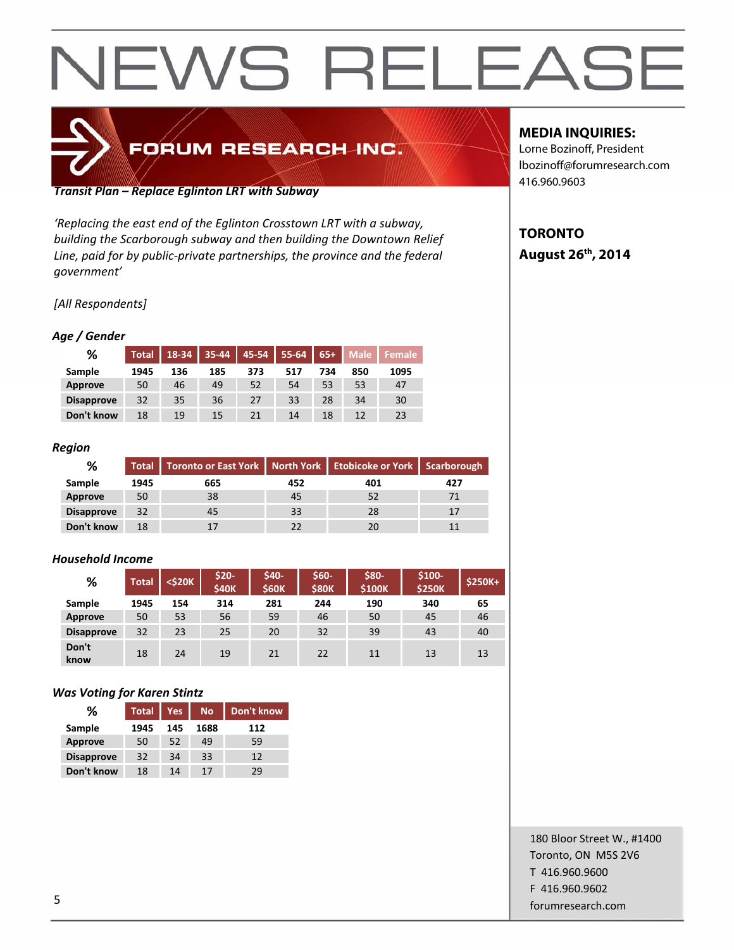# FORUM RESEARCH INC.

*Transit Plan – Replace Eglinton LRT with Subway*

*'Replacing the east end of the Eglinton Crosstown LRT with a subway, building the Scarborough subway and then building the Downtown Relief Line, paid for by public‐private partnerships, the province and the federal government'*

*[All Respondents]*

#### *Age / Gender*

| %                 | <b>Total</b> | 18-34 | 35-44 | 45-54 | 55-64 | $65+$ | <b>Male</b>     | Female |
|-------------------|--------------|-------|-------|-------|-------|-------|-----------------|--------|
| Sample            | 1945         | 136   | 185   | 373   | 517   | 734   | 850             | 1095   |
| Approve           | 50           | 46    | 49    | 52    | 54    | 53    | 53              | 47     |
| <b>Disapprove</b> | 32           | 35    | 36    | 27    | 33    | 28    | 34              | 30     |
| Don't know        | 18           | 19    | 15    | 21    | 14    | 18    | $12 \ \mathrm{$ | 23     |

#### *Region*

| ℅                 | <b>Total</b> | Toronto or East York   North York   Etobicoke or York   Scarborough |     |     |     |
|-------------------|--------------|---------------------------------------------------------------------|-----|-----|-----|
| Sample            | 1945         | 665                                                                 | 452 | 401 | 427 |
| Approve           | 50           | 38                                                                  | 45  | 52  |     |
| <b>Disapprove</b> | 32           | 45                                                                  | 33  | 28  | 17  |
| Don't know        | 18           |                                                                     |     | 20  |     |

#### *Household Income*

| %                 | <b>Total</b> | <b><s20k< b=""></s20k<></b> | \$20-<br><b>\$40K</b> | \$40-<br><b>\$60K</b> | \$60-<br><b>\$80K</b> | \$80-<br>\$100K | $$100-$<br><b>\$250K</b> | $$250K+$ |
|-------------------|--------------|-----------------------------|-----------------------|-----------------------|-----------------------|-----------------|--------------------------|----------|
| Sample            | 1945         | 154                         | 314                   | 281                   | 244                   | 190             | 340                      | 65       |
| Approve           | 50           | 53                          | 56                    | 59                    | 46                    | 50              | 45                       | 46       |
| <b>Disapprove</b> | 32           | 23                          | 25                    | 20                    | 32                    | 39              | 43                       | 40       |
| Don't<br>know     | 18           | 24                          | 19                    | 21                    | 22                    | 11              | 13                       | 13       |

#### *Was Voting for Karen Stintz*

| ℅                 | <b>Total</b> | <b>Yes</b> | <b>No</b> | Don't know |
|-------------------|--------------|------------|-----------|------------|
| Sample            | 1945         | 145        | 1688      | 112        |
| <b>Approve</b>    | 50           | 52         | 49        | 59         |
| <b>Disapprove</b> | 32           | 34         | 33        | 12         |
| Don't know        | 18           | 14         | 17        | 29         |

#### **MEDIA INQUIRIES:**

Lorne Bozinoff, President lbozinoff@forumresearch.com 416.960.9603

### **TORONTO August 26th, 2014**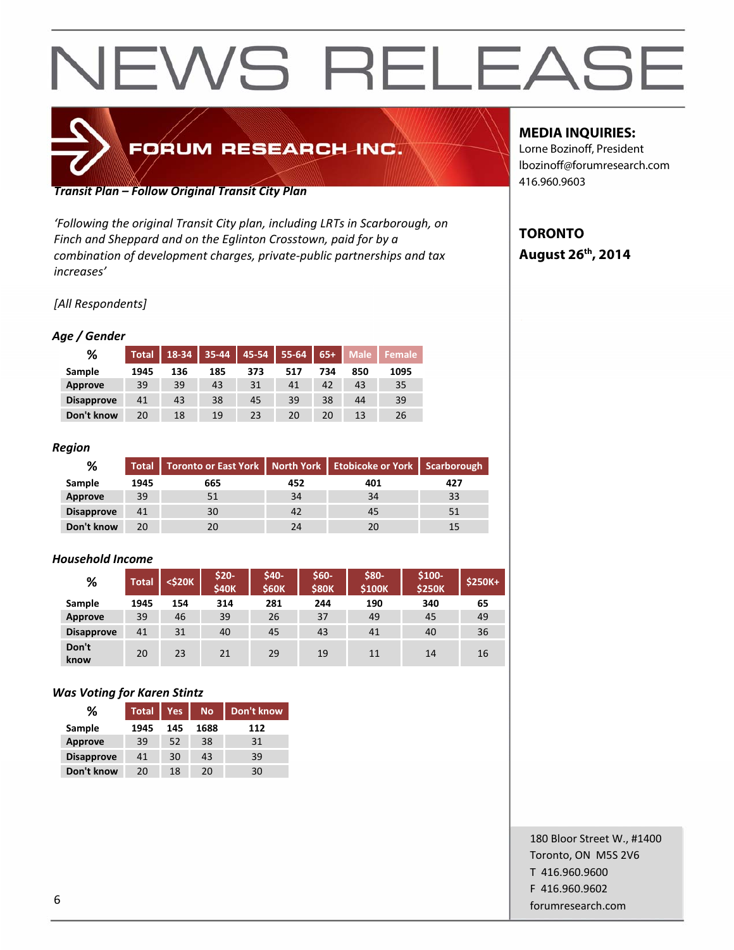# FORUM RESEARCH INC.

*Transit Plan – Follow Original Transit City Plan*

*'Following the original Transit City plan, including LRTs in Scarborough, on Finch and Sheppard and on the Eglinton Crosstown, paid for by a combination of development charges, private‐public partnerships and tax increases'*

*[All Respondents]*

#### *Age / Gender*

| %                 | <b>Total</b> | 18-34 | 35-44 | 45-54 | 55-64 | $65+$ | <b>Male</b> | Female |
|-------------------|--------------|-------|-------|-------|-------|-------|-------------|--------|
| Sample            | 1945         | 136   | 185   | 373   | 517   | 734   | 850         | 1095   |
| Approve           | 39           | 39    | 43    | 31    | 41    | 42    | 43          | 35     |
| <b>Disapprove</b> | 41           | 43    | 38    | 45    | 39    | 38    | 44          | 39     |
| Don't know        | 20           | 18    | 19    | 23    | 20    | 20    |             | 26     |

#### *Region*

| %                 | Total | Toronto or East York   North York   Etobicoke or York   Scarborough |     |     |     |  |
|-------------------|-------|---------------------------------------------------------------------|-----|-----|-----|--|
| Sample            | 1945  | 665                                                                 | 452 | 401 | 427 |  |
| Approve           | 39    | 51                                                                  | 34  | 34  | 33  |  |
| <b>Disapprove</b> | 41    | 30                                                                  | 42  | 45  | 51  |  |
| Don't know        | 20    | 20                                                                  | 24  | 20  |     |  |

#### *Household Income*

| %                 | <b>Total</b> | <\$20K | \$20-<br><b>\$40K</b> | \$40-<br><b>\$60K</b> | \$60-<br><b>\$80K</b> | \$80-<br><b>\$100K</b> | $$100-$<br><b>\$250K</b> | <b>\$250K+</b> |
|-------------------|--------------|--------|-----------------------|-----------------------|-----------------------|------------------------|--------------------------|----------------|
| Sample            | 1945         | 154    | 314                   | 281                   | 244                   | 190                    | 340                      | 65             |
| Approve           | 39           | 46     | 39                    | 26                    | 37                    | 49                     | 45                       | 49             |
| <b>Disapprove</b> | 41           | 31     | 40                    | 45                    | 43                    | 41                     | 40                       | 36             |
| Don't<br>know     | 20           | 23     | 21                    | 29                    | 19                    | 11                     | 14                       | 16             |

#### *Was Voting for Karen Stintz*

| %                 | <b>Total</b> | <b>Yes</b> | <b>No</b> | Don't know |
|-------------------|--------------|------------|-----------|------------|
| Sample            | 1945         | 145        | 1688      | 112        |
| <b>Approve</b>    | 39           | 52         | 38        | 31         |
| <b>Disapprove</b> | 41           | 30         | 43        | 39         |
| Don't know        | 20           | 18         | 20        | 30         |

### **MEDIA INQUIRIES:**

Lorne Bozinoff, President lbozinoff@forumresearch.com 416.960.9603

## **TORONTO August 26th, 2014**